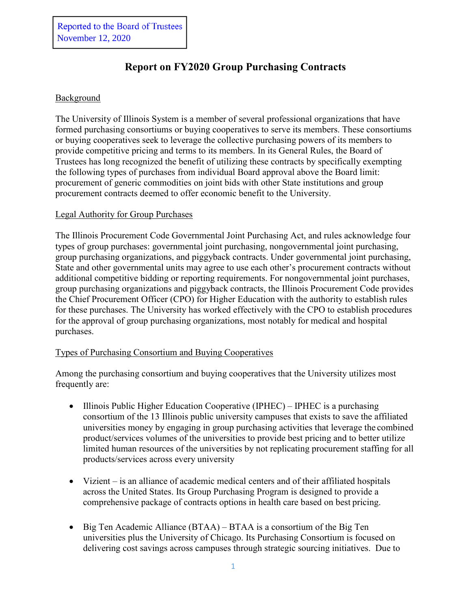# **Report on FY2020 Group Purchasing Contracts**

### Background

The University of Illinois System is a member of several professional organizations that have formed purchasing consortiums or buying cooperatives to serve its members. These consortiums or buying cooperatives seek to leverage the collective purchasing powers of its members to provide competitive pricing and terms to its members. In its General Rules, the Board of Trustees has long recognized the benefit of utilizing these contracts by specifically exempting the following types of purchases from individual Board approval above the Board limit: procurement of generic commodities on joint bids with other State institutions and group procurement contracts deemed to offer economic benefit to the University.

#### Legal Authority for Group Purchases

The Illinois Procurement Code Governmental Joint Purchasing Act, and rules acknowledge four types of group purchases: governmental joint purchasing, nongovernmental joint purchasing, group purchasing organizations, and piggyback contracts. Under governmental joint purchasing, State and other governmental units may agree to use each other's procurement contracts without additional competitive bidding or reporting requirements. For nongovernmental joint purchases, group purchasing organizations and piggyback contracts, the Illinois Procurement Code provides the Chief Procurement Officer (CPO) for Higher Education with the authority to establish rules for these purchases. The University has worked effectively with the CPO to establish procedures for the approval of group purchasing organizations, most notably for medical and hospital purchases.

#### Types of Purchasing Consortium and Buying Cooperatives

Among the purchasing consortium and buying cooperatives that the University utilizes most frequently are:

- Illinois Public Higher Education Cooperative (IPHEC) IPHEC is a purchasing consortium of the 13 Illinois public university campuses that exists to save the affiliated universities money by engaging in group purchasing activities that leverage the combined product/services volumes of the universities to provide best pricing and to better utilize limited human resources of the universities by not replicating procurement staffing for all products/services across every university
- Vizient is an alliance of academic medical centers and of their affiliated hospitals across the United States. Its Group Purchasing Program is designed to provide a comprehensive package of contracts options in health care based on best pricing.
- Big Ten Academic Alliance (BTAA) BTAA is a consortium of the Big Ten universities plus the University of Chicago. Its Purchasing Consortium is focused on delivering cost savings across campuses through strategic sourcing initiatives. Due to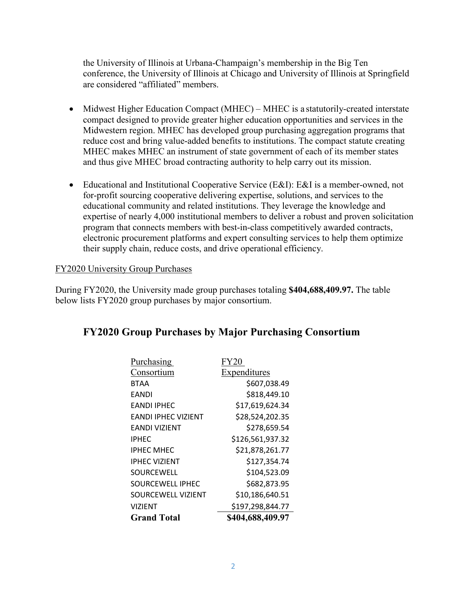the University of Illinois at Urbana-Champaign's membership in the Big Ten conference, the University of Illinois at Chicago and University of Illinois at Springfield are considered "affiliated" members.

- Midwest Higher Education Compact (MHEC) MHEC is a statutorily-created interstate compact designed to provide greater higher education opportunities and services in the Midwestern region. MHEC has developed group purchasing aggregation programs that reduce cost and bring value-added benefits to institutions. The compact statute creating MHEC makes MHEC an instrument of state government of each of its member states and thus give MHEC broad contracting authority to help carry out its mission.
- Educational and Institutional Cooperative Service (E&I): E&I is a member-owned, not for-profit sourcing cooperative delivering expertise, solutions, and services to the educational community and related institutions. They leverage the knowledge and expertise of nearly 4,000 institutional members to deliver a robust and proven solicitation program that connects members with best-in-class competitively awarded contracts, electronic procurement platforms and expert consulting services to help them optimize their supply chain, reduce costs, and drive operational efficiency.

#### FY2020 University Group Purchases

During FY2020, the University made group purchases totaling **\$404,688,409.97.** The table below lists FY2020 group purchases by major consortium.

## **FY2020 Group Purchases by Major Purchasing Consortium**

| FY20             |
|------------------|
| Expenditures     |
| \$607,038.49     |
| \$818,449.10     |
| \$17,619,624.34  |
| \$28,524,202.35  |
| \$278,659.54     |
| \$126,561,937.32 |
| \$21,878,261.77  |
| \$127,354.74     |
| \$104,523.09     |
| \$682,873.95     |
| \$10,186,640.51  |
| \$197,298,844.77 |
| \$404,688,409.97 |
|                  |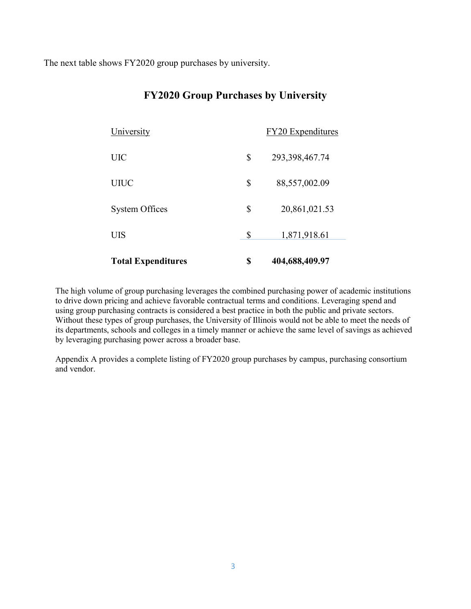The next table shows FY2020 group purchases by university.

| <b>Total Expenditures</b> | \$<br>404,688,409.97     |
|---------------------------|--------------------------|
| UIS                       | \$<br>1,871,918.61       |
| <b>System Offices</b>     | \$<br>20,861,021.53      |
| <b>UIUC</b>               | \$<br>88,557,002.09      |
| UIC                       | \$<br>293, 398, 467. 74  |
| University                | <b>FY20</b> Expenditures |

## **FY2020 Group Purchases by University**

The high volume of group purchasing leverages the combined purchasing power of academic institutions to drive down pricing and achieve favorable contractual terms and conditions. Leveraging spend and using group purchasing contracts is considered a best practice in both the public and private sectors. Without these types of group purchases, the University of Illinois would not be able to meet the needs of its departments, schools and colleges in a timely manner or achieve the same level of savings as achieved by leveraging purchasing power across a broader base.

Appendix A provides a complete listing of FY2020 group purchases by campus, purchasing consortium and vendor.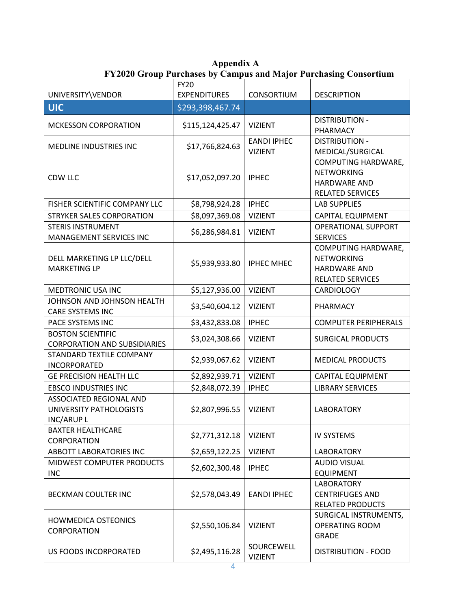**Appendix A FY2020 Group Purchases by Campus and Major Purchasing Consortium**

| UNIVERSITY\VENDOR                                                | <b>FY20</b><br><b>EXPENDITURES</b> | <b>CONSORTIUM</b>                    | <b>DESCRIPTION</b>                                                                         |
|------------------------------------------------------------------|------------------------------------|--------------------------------------|--------------------------------------------------------------------------------------------|
| <b>UIC</b>                                                       | \$293,398,467.74                   |                                      |                                                                                            |
| <b>MCKESSON CORPORATION</b>                                      | \$115,124,425.47                   | <b>VIZIENT</b>                       | <b>DISTRIBUTION -</b><br>PHARMACY                                                          |
| MEDLINE INDUSTRIES INC                                           | \$17,766,824.63                    | <b>EANDI IPHEC</b><br><b>VIZIENT</b> | <b>DISTRIBUTION -</b><br>MEDICAL/SURGICAL                                                  |
| CDW LLC                                                          | \$17,052,097.20                    | <b>IPHEC</b>                         | COMPUTING HARDWARE,<br><b>NETWORKING</b><br><b>HARDWARE AND</b><br>RELATED SERVICES        |
| FISHER SCIENTIFIC COMPANY LLC                                    | \$8,798,924.28                     | <b>IPHEC</b>                         | <b>LAB SUPPLIES</b>                                                                        |
| STRYKER SALES CORPORATION                                        | \$8,097,369.08                     | <b>VIZIENT</b>                       | CAPITAL EQUIPMENT                                                                          |
| <b>STERIS INSTRUMENT</b><br>MANAGEMENT SERVICES INC              | \$6,286,984.81                     | <b>VIZIENT</b>                       | <b>OPERATIONAL SUPPORT</b><br><b>SERVICES</b>                                              |
| DELL MARKETING LP LLC/DELL<br><b>MARKETING LP</b>                | \$5,939,933.80                     | <b>IPHEC MHEC</b>                    | COMPUTING HARDWARE,<br><b>NETWORKING</b><br><b>HARDWARE AND</b><br><b>RELATED SERVICES</b> |
| MEDTRONIC USA INC                                                | \$5,127,936.00                     | <b>VIZIENT</b>                       | CARDIOLOGY                                                                                 |
| JOHNSON AND JOHNSON HEALTH<br><b>CARE SYSTEMS INC</b>            | \$3,540,604.12                     | <b>VIZIENT</b>                       | PHARMACY                                                                                   |
| PACE SYSTEMS INC                                                 | \$3,432,833.08                     | <b>IPHEC</b>                         | <b>COMPUTER PERIPHERALS</b>                                                                |
| <b>BOSTON SCIENTIFIC</b><br><b>CORPORATION AND SUBSIDIARIES</b>  | \$3,024,308.66                     | <b>VIZIENT</b>                       | <b>SURGICAL PRODUCTS</b>                                                                   |
| STANDARD TEXTILE COMPANY<br>INCORPORATED                         | \$2,939,067.62                     | <b>VIZIENT</b>                       | <b>MEDICAL PRODUCTS</b>                                                                    |
| <b>GE PRECISION HEALTH LLC</b>                                   | \$2,892,939.71                     | <b>VIZIENT</b>                       | <b>CAPITAL EQUIPMENT</b>                                                                   |
| <b>EBSCO INDUSTRIES INC</b>                                      | \$2,848,072.39                     | <b>IPHEC</b>                         | <b>LIBRARY SERVICES</b>                                                                    |
| ASSOCIATED REGIONAL AND<br>UNIVERSITY PATHOLOGISTS<br>INC/ARUP L | \$2,807,996.55                     | <b>VIZIENT</b>                       | <b>LABORATORY</b>                                                                          |
| <b>BAXTER HEALTHCARE</b><br><b>CORPORATION</b>                   | \$2,771,312.18                     | <b>VIZIENT</b>                       | <b>IV SYSTEMS</b>                                                                          |
| ABBOTT LABORATORIES INC                                          | \$2,659,122.25                     | <b>VIZIENT</b>                       | <b>LABORATORY</b>                                                                          |
| MIDWEST COMPUTER PRODUCTS<br><b>INC</b>                          | \$2,602,300.48                     | <b>IPHEC</b>                         | <b>AUDIO VISUAL</b><br><b>EQUIPMENT</b>                                                    |
| <b>BECKMAN COULTER INC</b>                                       | \$2,578,043.49                     | <b>EANDI IPHEC</b>                   | <b>LABORATORY</b><br><b>CENTRIFUGES AND</b><br><b>RELATED PRODUCTS</b>                     |
| <b>HOWMEDICA OSTEONICS</b><br>CORPORATION                        | \$2,550,106.84                     | <b>VIZIENT</b>                       | SURGICAL INSTRUMENTS,<br><b>OPERATING ROOM</b><br><b>GRADE</b>                             |
| US FOODS INCORPORATED                                            | \$2,495,116.28                     | SOURCEWELL<br><b>VIZIENT</b>         | <b>DISTRIBUTION - FOOD</b>                                                                 |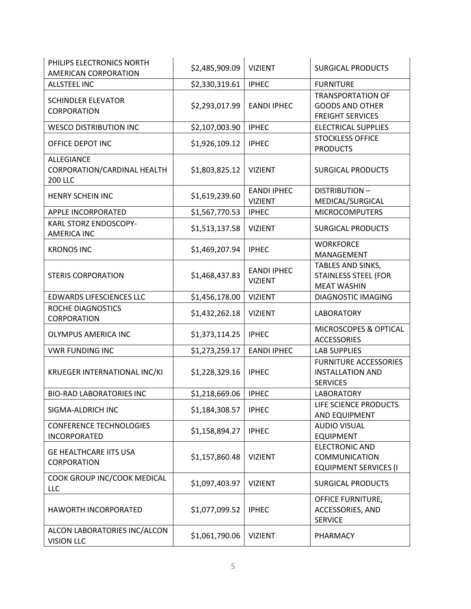| PHILIPS ELECTRONICS NORTH<br>AMERICAN CORPORATION                  | \$2,485,909.09 | <b>VIZIENT</b>                       | <b>SURGICAL PRODUCTS</b>                                                      |
|--------------------------------------------------------------------|----------------|--------------------------------------|-------------------------------------------------------------------------------|
| <b>ALLSTEEL INC</b>                                                | \$2,330,319.61 | <b>IPHEC</b>                         | <b>FURNITURE</b>                                                              |
| <b>SCHINDLER ELEVATOR</b><br>CORPORATION                           | \$2,293,017.99 | <b>EANDI IPHEC</b>                   | <b>TRANSPORTATION OF</b><br><b>GOODS AND OTHER</b><br><b>FREIGHT SERVICES</b> |
| <b>WESCO DISTRIBUTION INC</b>                                      | \$2,107,003.90 | <b>IPHEC</b>                         | <b>ELECTRICAL SUPPLIES</b>                                                    |
| OFFICE DEPOT INC                                                   | \$1,926,109.12 | <b>IPHEC</b>                         | <b>STOCKLESS OFFICE</b><br><b>PRODUCTS</b>                                    |
| <b>ALLEGIANCE</b><br>CORPORATION/CARDINAL HEALTH<br><b>200 LLC</b> | \$1,803,825.12 | <b>VIZIENT</b>                       | <b>SURGICAL PRODUCTS</b>                                                      |
| <b>HENRY SCHEIN INC</b>                                            | \$1,619,239.60 | <b>EANDI IPHEC</b><br><b>VIZIENT</b> | <b>DISTRIBUTION-</b><br>MEDICAL/SURGICAL                                      |
| APPLE INCORPORATED                                                 | \$1,567,770.53 | <b>IPHEC</b>                         | <b>MICROCOMPUTERS</b>                                                         |
| KARL STORZ ENDOSCOPY-<br><b>AMERICA INC</b>                        | \$1,513,137.58 | <b>VIZIENT</b>                       | <b>SURGICAL PRODUCTS</b>                                                      |
| <b>KRONOS INC</b>                                                  | \$1,469,207.94 | <b>IPHEC</b>                         | <b>WORKFORCE</b><br>MANAGEMENT                                                |
| <b>STERIS CORPORATION</b>                                          | \$1,468,437.83 | <b>EANDI IPHEC</b><br><b>VIZIENT</b> | TABLES AND SINKS,<br><b>STAINLESS STEEL (FOR</b><br><b>MEAT WASHIN</b>        |
| <b>EDWARDS LIFESCIENCES LLC</b>                                    | \$1,456,178.00 | <b>VIZIENT</b>                       | <b>DIAGNOSTIC IMAGING</b>                                                     |
| ROCHE DIAGNOSTICS<br>CORPORATION                                   | \$1,432,262.18 | <b>VIZIENT</b>                       | <b>LABORATORY</b>                                                             |
| <b>OLYMPUS AMERICA INC</b>                                         | \$1,373,114.25 | <b>IPHEC</b>                         | MICROSCOPES & OPTICAL<br><b>ACCESSORIES</b>                                   |
| <b>VWR FUNDING INC</b>                                             | \$1,273,259.17 | <b>EANDI IPHEC</b>                   | <b>LAB SUPPLIES</b>                                                           |
| KRUEGER INTERNATIONAL INC/KI                                       | \$1,228,329.16 | <b>IPHEC</b>                         | <b>FURNITURE ACCESSORIES</b><br><b>INSTALLATION AND</b><br><b>SERVICES</b>    |
| <b>BIO-RAD LABORATORIES INC</b>                                    | \$1,218,669.06 | <b>IPHEC</b>                         | <b>LABORATORY</b>                                                             |
| SIGMA-ALDRICH INC                                                  | \$1,184,308.57 | <b>IPHEC</b>                         | LIFE SCIENCE PRODUCTS<br>AND EQUIPMENT                                        |
| <b>CONFERENCE TECHNOLOGIES</b><br><b>INCORPORATED</b>              | \$1,158,894.27 | <b>IPHEC</b>                         | <b>AUDIO VISUAL</b><br><b>EQUIPMENT</b>                                       |
| <b>GE HEALTHCARE IITS USA</b><br>CORPORATION                       | \$1,157,860.48 | <b>VIZIENT</b>                       | <b>ELECTRONIC AND</b><br>COMMUNICATION<br><b>EQUIPMENT SERVICES (I</b>        |
| COOK GROUP INC/COOK MEDICAL<br>LLC                                 | \$1,097,403.97 | <b>VIZIENT</b>                       | <b>SURGICAL PRODUCTS</b>                                                      |
| HAWORTH INCORPORATED                                               | \$1,077,099.52 | <b>IPHEC</b>                         | <b>OFFICE FURNITURE,</b><br>ACCESSORIES, AND<br><b>SERVICE</b>                |
| ALCON LABORATORIES INC/ALCON<br><b>VISION LLC</b>                  | \$1,061,790.06 | <b>VIZIENT</b>                       | PHARMACY                                                                      |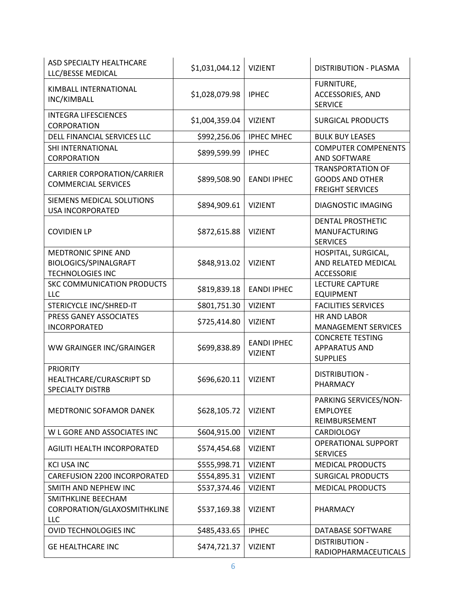| <b>ASD SPECIALTY HEALTHCARE</b><br>LLC/BESSE MEDICAL                                  | \$1,031,044.12 | <b>VIZIENT</b>                       | <b>DISTRIBUTION - PLASMA</b>                                                  |
|---------------------------------------------------------------------------------------|----------------|--------------------------------------|-------------------------------------------------------------------------------|
| KIMBALL INTERNATIONAL<br>INC/KIMBALL                                                  | \$1,028,079.98 | <b>IPHEC</b>                         | FURNITURE,<br>ACCESSORIES, AND<br><b>SERVICE</b>                              |
| <b>INTEGRA LIFESCIENCES</b><br>CORPORATION                                            | \$1,004,359.04 | <b>VIZIENT</b>                       | <b>SURGICAL PRODUCTS</b>                                                      |
| DELL FINANCIAL SERVICES LLC                                                           | \$992,256.06   | <b>IPHEC MHEC</b>                    | <b>BULK BUY LEASES</b>                                                        |
| SHI INTERNATIONAL<br>CORPORATION                                                      | \$899,599.99   | <b>IPHEC</b>                         | <b>COMPUTER COMPENENTS</b><br>AND SOFTWARE                                    |
| <b>CARRIER CORPORATION/CARRIER</b><br><b>COMMERCIAL SERVICES</b>                      | \$899,508.90   | <b>EANDI IPHEC</b>                   | <b>TRANSPORTATION OF</b><br><b>GOODS AND OTHER</b><br><b>FREIGHT SERVICES</b> |
| SIEMENS MEDICAL SOLUTIONS<br><b>USA INCORPORATED</b>                                  | \$894,909.61   | <b>VIZIENT</b>                       | DIAGNOSTIC IMAGING                                                            |
| <b>COVIDIEN LP</b>                                                                    | \$872,615.88   | <b>VIZIENT</b>                       | <b>DENTAL PROSTHETIC</b><br><b>MANUFACTURING</b><br><b>SERVICES</b>           |
| <b>MEDTRONIC SPINE AND</b><br><b>BIOLOGICS/SPINALGRAFT</b><br><b>TECHNOLOGIES INC</b> | \$848,913.02   | <b>VIZIENT</b>                       | HOSPITAL, SURGICAL,<br>AND RELATED MEDICAL<br><b>ACCESSORIE</b>               |
| SKC COMMUNICATION PRODUCTS<br>LLC                                                     | \$819,839.18   | <b>EANDI IPHEC</b>                   | <b>LECTURE CAPTURE</b><br><b>EQUIPMENT</b>                                    |
| STERICYCLE INC/SHRED-IT                                                               | \$801,751.30   | <b>VIZIENT</b>                       | <b>FACILITIES SERVICES</b>                                                    |
| PRESS GANEY ASSOCIATES<br><b>INCORPORATED</b>                                         | \$725,414.80   | <b>VIZIENT</b>                       | <b>HR AND LABOR</b><br><b>MANAGEMENT SERVICES</b>                             |
| WW GRAINGER INC/GRAINGER                                                              | \$699,838.89   | <b>EANDI IPHEC</b><br><b>VIZIENT</b> | <b>CONCRETE TESTING</b><br><b>APPARATUS AND</b><br><b>SUPPLIES</b>            |
| <b>PRIORITY</b><br>HEALTHCARE/CURASCRIPT SD<br><b>SPECIALTY DISTRB</b>                | \$696,620.11   | <b>VIZIENT</b>                       | <b>DISTRIBUTION -</b><br>PHARMACY                                             |
| MEDTRONIC SOFAMOR DANEK                                                               | \$628,105.72   | <b>VIZIENT</b>                       | PARKING SERVICES/NON-<br><b>EMPLOYEE</b><br>REIMBURSEMENT                     |
| W L GORE AND ASSOCIATES INC                                                           | \$604,915.00   | <b>VIZIENT</b>                       | <b>CARDIOLOGY</b>                                                             |
| AGILITI HEALTH INCORPORATED                                                           | \$574,454.68   | <b>VIZIENT</b>                       | <b>OPERATIONAL SUPPORT</b><br><b>SERVICES</b>                                 |
| <b>KCI USA INC</b>                                                                    | \$555,998.71   | <b>VIZIENT</b>                       | <b>MEDICAL PRODUCTS</b>                                                       |
| <b>CAREFUSION 2200 INCORPORATED</b>                                                   | \$554,895.31   | <b>VIZIENT</b>                       | <b>SURGICAL PRODUCTS</b>                                                      |
| SMITH AND NEPHEW INC                                                                  | \$537,374.46   | <b>VIZIENT</b>                       | <b>MEDICAL PRODUCTS</b>                                                       |
| SMITHKLINE BEECHAM<br>CORPORATION/GLAXOSMITHKLINE<br>LLC                              | \$537,169.38   | <b>VIZIENT</b>                       | PHARMACY                                                                      |
| <b>OVID TECHNOLOGIES INC</b>                                                          | \$485,433.65   | <b>IPHEC</b>                         | DATABASE SOFTWARE                                                             |
| <b>GE HEALTHCARE INC</b>                                                              | \$474,721.37   | <b>VIZIENT</b>                       | <b>DISTRIBUTION -</b><br>RADIOPHARMACEUTICALS                                 |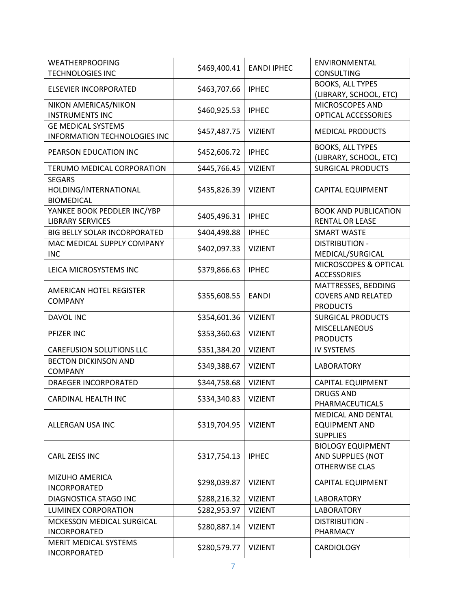| <b>WEATHERPROOFING</b><br><b>TECHNOLOGIES INC</b>           | \$469,400.41 | <b>EANDI IPHEC</b> | ENVIRONMENTAL<br><b>CONSULTING</b>                                     |
|-------------------------------------------------------------|--------------|--------------------|------------------------------------------------------------------------|
| <b>ELSEVIER INCORPORATED</b>                                | \$463,707.66 | <b>IPHEC</b>       | <b>BOOKS, ALL TYPES</b><br>(LIBRARY, SCHOOL, ETC)                      |
| NIKON AMERICAS/NIKON<br><b>INSTRUMENTS INC</b>              | \$460,925.53 | <b>IPHEC</b>       | MICROSCOPES AND<br>OPTICAL ACCESSORIES                                 |
| <b>GE MEDICAL SYSTEMS</b><br>INFORMATION TECHNOLOGIES INC   | \$457,487.75 | <b>VIZIENT</b>     | <b>MEDICAL PRODUCTS</b>                                                |
| PEARSON EDUCATION INC                                       | \$452,606.72 | <b>IPHEC</b>       | <b>BOOKS, ALL TYPES</b><br>(LIBRARY, SCHOOL, ETC)                      |
| TERUMO MEDICAL CORPORATION                                  | \$445,766.45 | <b>VIZIENT</b>     | <b>SURGICAL PRODUCTS</b>                                               |
| <b>SEGARS</b><br>HOLDING/INTERNATIONAL<br><b>BIOMEDICAL</b> | \$435,826.39 | <b>VIZIENT</b>     | <b>CAPITAL EQUIPMENT</b>                                               |
| YANKEE BOOK PEDDLER INC/YBP<br><b>LIBRARY SERVICES</b>      | \$405,496.31 | <b>IPHEC</b>       | <b>BOOK AND PUBLICATION</b><br><b>RENTAL OR LEASE</b>                  |
| BIG BELLY SOLAR INCORPORATED                                | \$404,498.88 | <b>IPHEC</b>       | <b>SMART WASTE</b>                                                     |
| MAC MEDICAL SUPPLY COMPANY<br><b>INC</b>                    | \$402,097.33 | <b>VIZIENT</b>     | <b>DISTRIBUTION -</b><br>MEDICAL/SURGICAL                              |
| LEICA MICROSYSTEMS INC                                      | \$379,866.63 | <b>IPHEC</b>       | MICROSCOPES & OPTICAL<br><b>ACCESSORIES</b>                            |
| AMERICAN HOTEL REGISTER<br>COMPANY                          | \$355,608.55 | <b>EANDI</b>       | MATTRESSES, BEDDING<br><b>COVERS AND RELATED</b><br><b>PRODUCTS</b>    |
| DAVOL INC                                                   | \$354,601.36 | <b>VIZIENT</b>     | <b>SURGICAL PRODUCTS</b>                                               |
| PFIZER INC                                                  | \$353,360.63 | <b>VIZIENT</b>     | <b>MISCELLANEOUS</b><br><b>PRODUCTS</b>                                |
| <b>CAREFUSION SOLUTIONS LLC</b>                             | \$351,384.20 | <b>VIZIENT</b>     | <b>IV SYSTEMS</b>                                                      |
| <b>BECTON DICKINSON AND</b><br><b>COMPANY</b>               | \$349,388.67 | <b>VIZIENT</b>     | <b>LABORATORY</b>                                                      |
| <b>DRAEGER INCORPORATED</b>                                 | \$344,758.68 | <b>VIZIENT</b>     | <b>CAPITAL EQUIPMENT</b>                                               |
| CARDINAL HEALTH INC                                         | \$334,340.83 | <b>VIZIENT</b>     | <b>DRUGS AND</b><br>PHARMACEUTICALS                                    |
| ALLERGAN USA INC                                            | \$319,704.95 | <b>VIZIENT</b>     | MEDICAL AND DENTAL<br><b>EQUIPMENT AND</b><br><b>SUPPLIES</b>          |
| CARL ZEISS INC                                              | \$317,754.13 | <b>IPHEC</b>       | <b>BIOLOGY EQUIPMENT</b><br>AND SUPPLIES (NOT<br><b>OTHERWISE CLAS</b> |
| <b>MIZUHO AMERICA</b><br><b>INCORPORATED</b>                | \$298,039.87 | <b>VIZIENT</b>     | <b>CAPITAL EQUIPMENT</b>                                               |
| DIAGNOSTICA STAGO INC                                       | \$288,216.32 | <b>VIZIENT</b>     | <b>LABORATORY</b>                                                      |
| <b>LUMINEX CORPORATION</b>                                  | \$282,953.97 | <b>VIZIENT</b>     | <b>LABORATORY</b>                                                      |
| MCKESSON MEDICAL SURGICAL<br><b>INCORPORATED</b>            | \$280,887.14 | <b>VIZIENT</b>     | <b>DISTRIBUTION -</b><br>PHARMACY                                      |
| MERIT MEDICAL SYSTEMS<br>INCORPORATED                       | \$280,579.77 | <b>VIZIENT</b>     | <b>CARDIOLOGY</b>                                                      |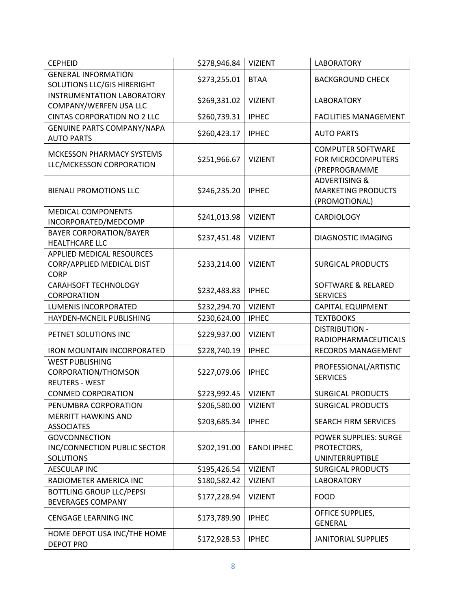| <b>CEPHEID</b>                                                           | \$278,946.84 | <b>VIZIENT</b>     | <b>LABORATORY</b>                                                      |
|--------------------------------------------------------------------------|--------------|--------------------|------------------------------------------------------------------------|
| <b>GENERAL INFORMATION</b>                                               | \$273,255.01 | <b>BTAA</b>        | <b>BACKGROUND CHECK</b>                                                |
| SOLUTIONS LLC/GIS HIRERIGHT                                              |              |                    |                                                                        |
| <b>INSTRUMENTATION LABORATORY</b>                                        | \$269,331.02 | <b>VIZIENT</b>     | <b>LABORATORY</b>                                                      |
| COMPANY/WERFEN USA LLC                                                   |              |                    |                                                                        |
| <b>CINTAS CORPORATION NO 2 LLC</b>                                       | \$260,739.31 | <b>IPHEC</b>       | <b>FACILITIES MANAGEMENT</b>                                           |
| <b>GENUINE PARTS COMPANY/NAPA</b><br><b>AUTO PARTS</b>                   | \$260,423.17 | <b>IPHEC</b>       | <b>AUTO PARTS</b>                                                      |
| <b>MCKESSON PHARMACY SYSTEMS</b><br>LLC/MCKESSON CORPORATION             | \$251,966.67 | <b>VIZIENT</b>     | <b>COMPUTER SOFTWARE</b><br>FOR MICROCOMPUTERS<br>(PREPROGRAMME        |
| <b>BIENALI PROMOTIONS LLC</b>                                            | \$246,235.20 | <b>IPHEC</b>       | <b>ADVERTISING &amp;</b><br><b>MARKETING PRODUCTS</b><br>(PROMOTIONAL) |
| <b>MEDICAL COMPONENTS</b><br>INCORPORATED/MEDCOMP                        | \$241,013.98 | <b>VIZIENT</b>     | <b>CARDIOLOGY</b>                                                      |
| <b>BAYER CORPORATION/BAYER</b><br><b>HEALTHCARE LLC</b>                  | \$237,451.48 | <b>VIZIENT</b>     | <b>DIAGNOSTIC IMAGING</b>                                              |
| APPLIED MEDICAL RESOURCES<br>CORP/APPLIED MEDICAL DIST<br><b>CORP</b>    | \$233,214.00 | <b>VIZIENT</b>     | <b>SURGICAL PRODUCTS</b>                                               |
| <b>CARAHSOFT TECHNOLOGY</b><br>CORPORATION                               | \$232,483.83 | <b>IPHEC</b>       | <b>SOFTWARE &amp; RELARED</b><br><b>SERVICES</b>                       |
| <b>LUMENIS INCORPORATED</b>                                              | \$232,294.70 | <b>VIZIENT</b>     | <b>CAPITAL EQUIPMENT</b>                                               |
| HAYDEN-MCNEIL PUBLISHING                                                 | \$230,624.00 | <b>IPHEC</b>       | <b>TEXTBOOKS</b>                                                       |
| PETNET SOLUTIONS INC                                                     | \$229,937.00 | <b>VIZIENT</b>     | <b>DISTRIBUTION -</b><br>RADIOPHARMACEUTICALS                          |
| <b>IRON MOUNTAIN INCORPORATED</b>                                        | \$228,740.19 | <b>IPHEC</b>       | <b>RECORDS MANAGEMENT</b>                                              |
| <b>WEST PUBLISHING</b><br>CORPORATION/THOMSON<br><b>REUTERS - WEST</b>   | \$227,079.06 | <b>IPHEC</b>       | PROFESSIONAL/ARTISTIC<br><b>SERVICES</b>                               |
| <b>CONMED CORPORATION</b>                                                | \$223,992.45 | <b>VIZIENT</b>     | <b>SURGICAL PRODUCTS</b>                                               |
| PENUMBRA CORPORATION                                                     | \$206,580.00 | <b>VIZIENT</b>     | <b>SURGICAL PRODUCTS</b>                                               |
| <b>MERRITT HAWKINS AND</b><br><b>ASSOCIATES</b>                          | \$203,685.34 | <b>IPHEC</b>       | SEARCH FIRM SERVICES                                                   |
| <b>GOVCONNECTION</b><br>INC/CONNECTION PUBLIC SECTOR<br><b>SOLUTIONS</b> | \$202,191.00 | <b>EANDI IPHEC</b> | <b>POWER SUPPLIES: SURGE</b><br>PROTECTORS,<br><b>UNINTERRUPTIBLE</b>  |
| <b>AESCULAP INC</b>                                                      | \$195,426.54 | <b>VIZIENT</b>     | <b>SURGICAL PRODUCTS</b>                                               |
| RADIOMETER AMERICA INC                                                   | \$180,582.42 | <b>VIZIENT</b>     | <b>LABORATORY</b>                                                      |
| <b>BOTTLING GROUP LLC/PEPSI</b><br><b>BEVERAGES COMPANY</b>              | \$177,228.94 | <b>VIZIENT</b>     | <b>FOOD</b>                                                            |
| CENGAGE LEARNING INC                                                     | \$173,789.90 | <b>IPHEC</b>       | OFFICE SUPPLIES,<br><b>GENERAL</b>                                     |
| HOME DEPOT USA INC/THE HOME<br><b>DEPOT PRO</b>                          | \$172,928.53 | <b>IPHEC</b>       | <b>JANITORIAL SUPPLIES</b>                                             |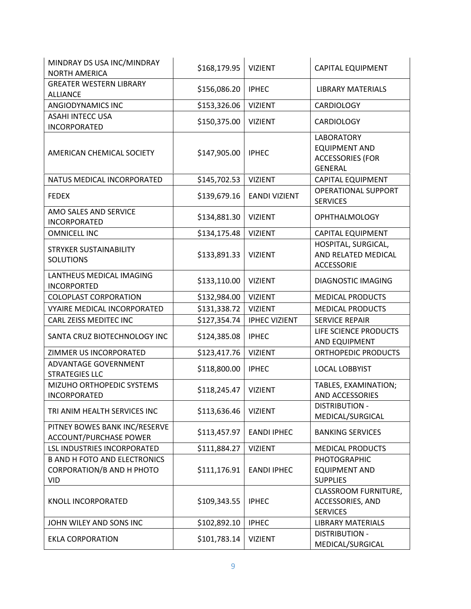| MINDRAY DS USA INC/MINDRAY<br><b>NORTH AMERICA</b>                                    | \$168,179.95 | <b>VIZIENT</b>       | <b>CAPITAL EQUIPMENT</b>                                                               |
|---------------------------------------------------------------------------------------|--------------|----------------------|----------------------------------------------------------------------------------------|
| <b>GREATER WESTERN LIBRARY</b><br><b>ALLIANCE</b>                                     | \$156,086.20 | <b>IPHEC</b>         | <b>LIBRARY MATERIALS</b>                                                               |
| ANGIODYNAMICS INC                                                                     | \$153,326.06 | <b>VIZIENT</b>       | CARDIOLOGY                                                                             |
| <b>ASAHI INTECC USA</b><br>INCORPORATED                                               | \$150,375.00 | <b>VIZIENT</b>       | <b>CARDIOLOGY</b>                                                                      |
| AMERICAN CHEMICAL SOCIETY                                                             | \$147,905.00 | <b>IPHEC</b>         | <b>LABORATORY</b><br><b>EQUIPMENT AND</b><br><b>ACCESSORIES (FOR</b><br><b>GENERAL</b> |
| NATUS MEDICAL INCORPORATED                                                            | \$145,702.53 | <b>VIZIENT</b>       | <b>CAPITAL EQUIPMENT</b>                                                               |
| <b>FEDEX</b>                                                                          | \$139,679.16 | <b>EANDI VIZIENT</b> | <b>OPERATIONAL SUPPORT</b><br><b>SERVICES</b>                                          |
| AMO SALES AND SERVICE<br><b>INCORPORATED</b>                                          | \$134,881.30 | <b>VIZIENT</b>       | <b>OPHTHALMOLOGY</b>                                                                   |
| <b>OMNICELL INC</b>                                                                   | \$134,175.48 | <b>VIZIENT</b>       | <b>CAPITAL EQUIPMENT</b>                                                               |
| <b>STRYKER SUSTAINABILITY</b><br><b>SOLUTIONS</b>                                     | \$133,891.33 | <b>VIZIENT</b>       | HOSPITAL, SURGICAL,<br>AND RELATED MEDICAL<br><b>ACCESSORIE</b>                        |
| LANTHEUS MEDICAL IMAGING<br><b>INCORPORTED</b>                                        | \$133,110.00 | <b>VIZIENT</b>       | <b>DIAGNOSTIC IMAGING</b>                                                              |
| <b>COLOPLAST CORPORATION</b>                                                          | \$132,984.00 | <b>VIZIENT</b>       | <b>MEDICAL PRODUCTS</b>                                                                |
| VYAIRE MEDICAL INCORPORATED                                                           | \$131,338.72 | <b>VIZIENT</b>       | <b>MEDICAL PRODUCTS</b>                                                                |
| CARL ZEISS MEDITEC INC                                                                | \$127,354.74 | <b>IPHEC VIZIENT</b> | <b>SERVICE REPAIR</b>                                                                  |
| SANTA CRUZ BIOTECHNOLOGY INC                                                          | \$124,385.08 | <b>IPHEC</b>         | LIFE SCIENCE PRODUCTS<br>AND EQUIPMENT                                                 |
| ZIMMER US INCORPORATED                                                                | \$123,417.76 | <b>VIZIENT</b>       | <b>ORTHOPEDIC PRODUCTS</b>                                                             |
| ADVANTAGE GOVERNMENT<br><b>STRATEGIES LLC</b>                                         | \$118,800.00 | <b>IPHEC</b>         | <b>LOCAL LOBBYIST</b>                                                                  |
| MIZUHO ORTHOPEDIC SYSTEMS<br><b>INCORPORATED</b>                                      | \$118,245.47 | <b>VIZIENT</b>       | TABLES, EXAMINATION;<br>AND ACCESSORIES                                                |
| TRI ANIM HEALTH SERVICES INC                                                          | \$113,636.46 | <b>VIZIENT</b>       | <b>DISTRIBUTION -</b><br>MEDICAL/SURGICAL                                              |
| PITNEY BOWES BANK INC/RESERVE<br><b>ACCOUNT/PURCHASE POWER</b>                        | \$113,457.97 | <b>EANDI IPHEC</b>   | <b>BANKING SERVICES</b>                                                                |
| LSL INDUSTRIES INCORPORATED                                                           | \$111,884.27 | <b>VIZIENT</b>       | <b>MEDICAL PRODUCTS</b>                                                                |
| <b>B AND H FOTO AND ELECTRONICS</b><br><b>CORPORATION/B AND H PHOTO</b><br><b>VID</b> | \$111,176.91 | <b>EANDI IPHEC</b>   | <b>PHOTOGRAPHIC</b><br><b>EQUIPMENT AND</b><br><b>SUPPLIES</b>                         |
| KNOLL INCORPORATED                                                                    | \$109,343.55 | <b>IPHEC</b>         | CLASSROOM FURNITURE,<br>ACCESSORIES, AND<br><b>SERVICES</b>                            |
| JOHN WILEY AND SONS INC                                                               | \$102,892.10 | <b>IPHEC</b>         | <b>LIBRARY MATERIALS</b>                                                               |
| <b>EKLA CORPORATION</b>                                                               | \$101,783.14 | <b>VIZIENT</b>       | <b>DISTRIBUTION -</b><br>MEDICAL/SURGICAL                                              |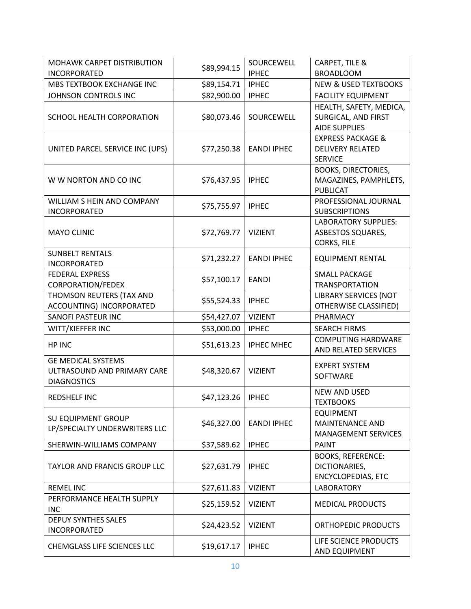| MOHAWK CARPET DISTRIBUTION<br><b>INCORPORATED</b>                              | \$89,994.15 | SOURCEWELL<br><b>IPHEC</b> | CARPET, TILE &<br><b>BROADLOOM</b>                                        |
|--------------------------------------------------------------------------------|-------------|----------------------------|---------------------------------------------------------------------------|
| MBS TEXTBOOK EXCHANGE INC                                                      | \$89,154.71 | <b>IPHEC</b>               | <b>NEW &amp; USED TEXTBOOKS</b>                                           |
| JOHNSON CONTROLS INC                                                           | \$82,900.00 | <b>IPHEC</b>               | <b>FACILITY EQUIPMENT</b>                                                 |
| SCHOOL HEALTH CORPORATION                                                      | \$80,073.46 | SOURCEWELL                 | HEALTH, SAFETY, MEDICA,<br>SURGICAL, AND FIRST<br><b>AIDE SUPPLIES</b>    |
| UNITED PARCEL SERVICE INC (UPS)                                                | \$77,250.38 | <b>EANDI IPHEC</b>         | <b>EXPRESS PACKAGE &amp;</b><br><b>DELIVERY RELATED</b><br><b>SERVICE</b> |
| W W NORTON AND CO INC                                                          | \$76,437.95 | <b>IPHEC</b>               | <b>BOOKS, DIRECTORIES,</b><br>MAGAZINES, PAMPHLETS,<br><b>PUBLICAT</b>    |
| WILLIAM S HEIN AND COMPANY<br><b>INCORPORATED</b>                              | \$75,755.97 | <b>IPHEC</b>               | PROFESSIONAL JOURNAL<br><b>SUBSCRIPTIONS</b>                              |
| <b>MAYO CLINIC</b>                                                             | \$72,769.77 | <b>VIZIENT</b>             | <b>LABORATORY SUPPLIES:</b><br>ASBESTOS SQUARES,<br><b>CORKS, FILE</b>    |
| <b>SUNBELT RENTALS</b><br><b>INCORPORATED</b>                                  | \$71,232.27 | <b>EANDI IPHEC</b>         | <b>EQUIPMENT RENTAL</b>                                                   |
| <b>FEDERAL EXPRESS</b><br>CORPORATION/FEDEX                                    | \$57,100.17 | <b>EANDI</b>               | <b>SMALL PACKAGE</b><br><b>TRANSPORTATION</b>                             |
| THOMSON REUTERS (TAX AND<br>ACCOUNTING) INCORPORATED                           | \$55,524.33 | <b>IPHEC</b>               | <b>LIBRARY SERVICES (NOT</b><br>OTHERWISE CLASSIFIED)                     |
| SANOFI PASTEUR INC                                                             | \$54,427.07 | <b>VIZIENT</b>             | PHARMACY                                                                  |
| WITT/KIEFFER INC                                                               | \$53,000.00 | <b>IPHEC</b>               | <b>SEARCH FIRMS</b>                                                       |
| HP INC                                                                         | \$51,613.23 | <b>IPHEC MHEC</b>          | <b>COMPUTING HARDWARE</b><br>AND RELATED SERVICES                         |
| <b>GE MEDICAL SYSTEMS</b><br>ULTRASOUND AND PRIMARY CARE<br><b>DIAGNOSTICS</b> | \$48,320.67 | <b>VIZIENT</b>             | <b>EXPERT SYSTEM</b><br>SOFTWARE                                          |
| <b>REDSHELF INC</b>                                                            | \$47,123.26 | <b>IPHEC</b>               | <b>NEW AND USED</b><br><b>TEXTBOOKS</b>                                   |
| <b>SU EQUIPMENT GROUP</b><br>LP/SPECIALTY UNDERWRITERS LLC                     | \$46,327.00 | <b>EANDI IPHEC</b>         | <b>EQUIPMENT</b><br><b>MAINTENANCE AND</b><br><b>MANAGEMENT SERVICES</b>  |
| SHERWIN-WILLIAMS COMPANY                                                       | \$37,589.62 | <b>IPHEC</b>               | <b>PAINT</b>                                                              |
| TAYLOR AND FRANCIS GROUP LLC                                                   | \$27,631.79 | <b>IPHEC</b>               | <b>BOOKS, REFERENCE:</b><br>DICTIONARIES,<br><b>ENCYCLOPEDIAS, ETC</b>    |
| <b>REMEL INC</b>                                                               | \$27,611.83 | <b>VIZIENT</b>             | <b>LABORATORY</b>                                                         |
| PERFORMANCE HEALTH SUPPLY<br><b>INC</b>                                        | \$25,159.52 | <b>VIZIENT</b>             | <b>MEDICAL PRODUCTS</b>                                                   |
| <b>DEPUY SYNTHES SALES</b><br>INCORPORATED                                     | \$24,423.52 | <b>VIZIENT</b>             | ORTHOPEDIC PRODUCTS                                                       |
| CHEMGLASS LIFE SCIENCES LLC                                                    | \$19,617.17 | <b>IPHEC</b>               | LIFE SCIENCE PRODUCTS<br>AND EQUIPMENT                                    |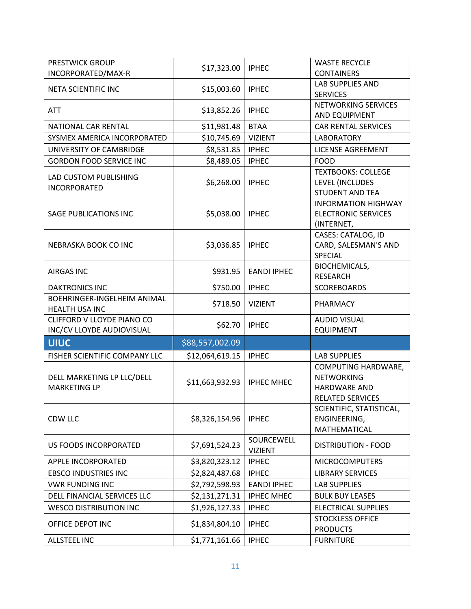| <b>PRESTWICK GROUP</b><br>INCORPORATED/MAX-R            | \$17,323.00     | <b>IPHEC</b>                 | <b>WASTE RECYCLE</b><br><b>CONTAINERS</b>                                                  |
|---------------------------------------------------------|-----------------|------------------------------|--------------------------------------------------------------------------------------------|
| NETA SCIENTIFIC INC                                     | \$15,003.60     | <b>IPHEC</b>                 | <b>LAB SUPPLIES AND</b><br><b>SERVICES</b>                                                 |
| <b>ATT</b>                                              | \$13,852.26     | <b>IPHEC</b>                 | NETWORKING SERVICES<br>AND EQUIPMENT                                                       |
| NATIONAL CAR RENTAL                                     | \$11,981.48     | <b>BTAA</b>                  | <b>CAR RENTAL SERVICES</b>                                                                 |
| SYSMEX AMERICA INCORPORATED                             | \$10,745.69     | <b>VIZIENT</b>               | <b>LABORATORY</b>                                                                          |
| UNIVERSITY OF CAMBRIDGE                                 | \$8,531.85      | <b>IPHEC</b>                 | <b>LICENSE AGREEMENT</b>                                                                   |
| <b>GORDON FOOD SERVICE INC</b>                          | \$8,489.05      | <b>IPHEC</b>                 | <b>FOOD</b>                                                                                |
| LAD CUSTOM PUBLISHING<br><b>INCORPORATED</b>            | \$6,268.00      | <b>IPHEC</b>                 | <b>TEXTBOOKS: COLLEGE</b><br>LEVEL (INCLUDES<br><b>STUDENT AND TEA</b>                     |
| <b>SAGE PUBLICATIONS INC</b>                            | \$5,038.00      | <b>IPHEC</b>                 | <b>INFORMATION HIGHWAY</b><br><b>ELECTRONIC SERVICES</b><br>(INTERNET,                     |
| NEBRASKA BOOK CO INC                                    | \$3,036.85      | <b>IPHEC</b>                 | CASES: CATALOG, ID<br>CARD, SALESMAN'S AND<br>SPECIAL                                      |
| <b>AIRGAS INC</b>                                       | \$931.95        | <b>EANDI IPHEC</b>           | BIOCHEMICALS,<br><b>RESEARCH</b>                                                           |
| <b>DAKTRONICS INC</b>                                   | \$750.00        | <b>IPHEC</b>                 | <b>SCOREBOARDS</b>                                                                         |
| BOEHRINGER-INGELHEIM ANIMAL<br>HEALTH USA INC           | \$718.50        | <b>VIZIENT</b>               | PHARMACY                                                                                   |
| CLIFFORD V LLOYDE PIANO CO<br>INC/CV LLOYDE AUDIOVISUAL | \$62.70         | <b>IPHEC</b>                 | <b>AUDIO VISUAL</b><br><b>EQUIPMENT</b>                                                    |
| <b>UIUC</b>                                             | \$88,557,002.09 |                              |                                                                                            |
| FISHER SCIENTIFIC COMPANY LLC                           | \$12,064,619.15 | <b>IPHEC</b>                 | <b>LAB SUPPLIES</b>                                                                        |
| DELL MARKETING LP LLC/DELL<br><b>MARKETING LP</b>       | \$11,663,932.93 | <b>IPHEC MHEC</b>            | COMPUTING HARDWARE,<br><b>NETWORKING</b><br><b>HARDWARE AND</b><br><b>RELATED SERVICES</b> |
| CDW LLC                                                 | \$8,326,154.96  | <b>IPHEC</b>                 | SCIENTIFIC, STATISTICAL,<br>ENGINEERING,<br>MATHEMATICAL                                   |
| <b>US FOODS INCORPORATED</b>                            | \$7,691,524.23  | SOURCEWELL<br><b>VIZIENT</b> | <b>DISTRIBUTION - FOOD</b>                                                                 |
| APPLE INCORPORATED                                      | \$3,820,323.12  | <b>IPHEC</b>                 | <b>MICROCOMPUTERS</b>                                                                      |
| <b>EBSCO INDUSTRIES INC</b>                             | \$2,824,487.68  | <b>IPHEC</b>                 | <b>LIBRARY SERVICES</b>                                                                    |
| <b>VWR FUNDING INC</b>                                  | \$2,792,598.93  | <b>EANDI IPHEC</b>           | <b>LAB SUPPLIES</b>                                                                        |
| DELL FINANCIAL SERVICES LLC                             | \$2,131,271.31  | <b>IPHEC MHEC</b>            | <b>BULK BUY LEASES</b>                                                                     |
| <b>WESCO DISTRIBUTION INC</b>                           | \$1,926,127.33  | <b>IPHEC</b>                 | <b>ELECTRICAL SUPPLIES</b>                                                                 |
| OFFICE DEPOT INC                                        | \$1,834,804.10  | <b>IPHEC</b>                 | <b>STOCKLESS OFFICE</b><br><b>PRODUCTS</b>                                                 |
|                                                         |                 |                              |                                                                                            |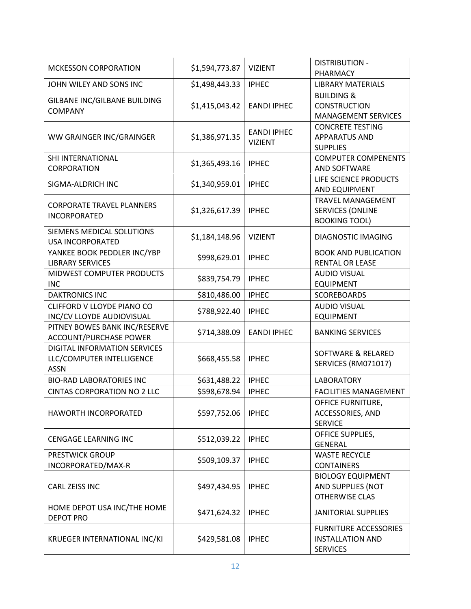| <b>MCKESSON CORPORATION</b>                                              | \$1,594,773.87 | <b>VIZIENT</b>                       | <b>DISTRIBUTION -</b><br>PHARMACY                                           |
|--------------------------------------------------------------------------|----------------|--------------------------------------|-----------------------------------------------------------------------------|
| JOHN WILEY AND SONS INC                                                  | \$1,498,443.33 | <b>IPHEC</b>                         | <b>LIBRARY MATERIALS</b>                                                    |
| GILBANE INC/GILBANE BUILDING<br><b>COMPANY</b>                           | \$1,415,043.42 | <b>EANDI IPHEC</b>                   | <b>BUILDING &amp;</b><br><b>CONSTRUCTION</b><br><b>MANAGEMENT SERVICES</b>  |
| WW GRAINGER INC/GRAINGER                                                 | \$1,386,971.35 | <b>EANDI IPHEC</b><br><b>VIZIENT</b> | <b>CONCRETE TESTING</b><br><b>APPARATUS AND</b><br><b>SUPPLIES</b>          |
| SHI INTERNATIONAL<br>CORPORATION                                         | \$1,365,493.16 | <b>IPHEC</b>                         | <b>COMPUTER COMPENENTS</b><br>AND SOFTWARE                                  |
| SIGMA-ALDRICH INC                                                        | \$1,340,959.01 | <b>IPHEC</b>                         | LIFE SCIENCE PRODUCTS<br>AND EQUIPMENT                                      |
| <b>CORPORATE TRAVEL PLANNERS</b><br><b>INCORPORATED</b>                  | \$1,326,617.39 | <b>IPHEC</b>                         | <b>TRAVEL MANAGEMENT</b><br><b>SERVICES (ONLINE</b><br><b>BOOKING TOOL)</b> |
| SIEMENS MEDICAL SOLUTIONS<br><b>USA INCORPORATED</b>                     | \$1,184,148.96 | <b>VIZIENT</b>                       | DIAGNOSTIC IMAGING                                                          |
| YANKEE BOOK PEDDLER INC/YBP<br><b>LIBRARY SERVICES</b>                   | \$998,629.01   | <b>IPHEC</b>                         | <b>BOOK AND PUBLICATION</b><br><b>RENTAL OR LEASE</b>                       |
| MIDWEST COMPUTER PRODUCTS<br><b>INC</b>                                  | \$839,754.79   | <b>IPHEC</b>                         | <b>AUDIO VISUAL</b><br><b>EQUIPMENT</b>                                     |
| <b>DAKTRONICS INC</b>                                                    | \$810,486.00   | <b>IPHEC</b>                         | <b>SCOREBOARDS</b>                                                          |
| CLIFFORD V LLOYDE PIANO CO<br>INC/CV LLOYDE AUDIOVISUAL                  | \$788,922.40   | <b>IPHEC</b>                         | <b>AUDIO VISUAL</b><br><b>EQUIPMENT</b>                                     |
| PITNEY BOWES BANK INC/RESERVE<br><b>ACCOUNT/PURCHASE POWER</b>           | \$714,388.09   | <b>EANDI IPHEC</b>                   | <b>BANKING SERVICES</b>                                                     |
| DIGITAL INFORMATION SERVICES<br>LLC/COMPUTER INTELLIGENCE<br><b>ASSN</b> | \$668,455.58   | <b>IPHEC</b>                         | <b>SOFTWARE &amp; RELARED</b><br>SERVICES (RM071017)                        |
| <b>BIO-RAD LABORATORIES INC</b>                                          | \$631,488.22   | <b>IPHEC</b>                         | <b>LABORATORY</b>                                                           |
| <b>CINTAS CORPORATION NO 2 LLC</b>                                       | \$598,678.94   | <b>IPHEC</b>                         | <b>FACILITIES MANAGEMENT</b>                                                |
| HAWORTH INCORPORATED                                                     | \$597,752.06   | <b>IPHEC</b>                         | OFFICE FURNITURE,<br>ACCESSORIES, AND<br><b>SERVICE</b>                     |
| <b>CENGAGE LEARNING INC</b>                                              | \$512,039.22   | <b>IPHEC</b>                         | OFFICE SUPPLIES,<br><b>GENERAL</b>                                          |
| <b>PRESTWICK GROUP</b><br>INCORPORATED/MAX-R                             | \$509,109.37   | <b>IPHEC</b>                         | <b>WASTE RECYCLE</b><br><b>CONTAINERS</b>                                   |
| <b>CARL ZEISS INC</b>                                                    | \$497,434.95   | <b>IPHEC</b>                         | <b>BIOLOGY EQUIPMENT</b><br>AND SUPPLIES (NOT<br>OTHERWISE CLAS             |
| HOME DEPOT USA INC/THE HOME<br><b>DEPOT PRO</b>                          | \$471,624.32   | <b>IPHEC</b>                         | <b>JANITORIAL SUPPLIES</b>                                                  |
| KRUEGER INTERNATIONAL INC/KI                                             | \$429,581.08   | <b>IPHEC</b>                         | <b>FURNITURE ACCESSORIES</b><br><b>INSTALLATION AND</b><br><b>SERVICES</b>  |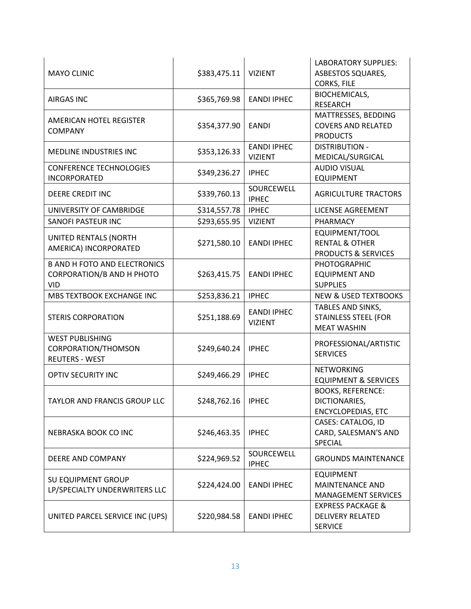| <b>MAYO CLINIC</b>                                                                    | \$383,475.11         | <b>VIZIENT</b>                       | <b>LABORATORY SUPPLIES:</b><br><b>ASBESTOS SQUARES,</b><br>CORKS, FILE        |
|---------------------------------------------------------------------------------------|----------------------|--------------------------------------|-------------------------------------------------------------------------------|
| <b>AIRGAS INC</b>                                                                     | \$365,769.98         | <b>EANDI IPHEC</b>                   | BIOCHEMICALS,<br><b>RESEARCH</b>                                              |
| AMERICAN HOTEL REGISTER<br><b>COMPANY</b>                                             | \$354,377.90         | <b>EANDI</b>                         | MATTRESSES, BEDDING<br><b>COVERS AND RELATED</b><br><b>PRODUCTS</b>           |
| <b>MEDLINE INDUSTRIES INC</b>                                                         | \$353,126.33         | <b>EANDI IPHEC</b><br><b>VIZIENT</b> | <b>DISTRIBUTION -</b><br>MEDICAL/SURGICAL                                     |
| <b>CONFERENCE TECHNOLOGIES</b><br><b>INCORPORATED</b>                                 | \$349,236.27         | <b>IPHEC</b>                         | <b>AUDIO VISUAL</b><br><b>EQUIPMENT</b>                                       |
| DEERE CREDIT INC                                                                      | \$339,760.13         | SOURCEWELL<br><b>IPHEC</b>           | <b>AGRICULTURE TRACTORS</b>                                                   |
| UNIVERSITY OF CAMBRIDGE                                                               | \$314,557.78         | <b>IPHEC</b>                         | <b>LICENSE AGREEMENT</b>                                                      |
| SANOFI PASTEUR INC                                                                    | \$293,655.95         | <b>VIZIENT</b>                       | PHARMACY                                                                      |
| UNITED RENTALS (NORTH<br>AMERICA) INCORPORATED                                        | \$271,580.10         | <b>EANDI IPHEC</b>                   | EQUIPMENT/TOOL<br><b>RENTAL &amp; OTHER</b><br><b>PRODUCTS &amp; SERVICES</b> |
| <b>B AND H FOTO AND ELECTRONICS</b><br><b>CORPORATION/B AND H PHOTO</b><br><b>VID</b> | \$263,415.75         | <b>EANDI IPHEC</b>                   | <b>PHOTOGRAPHIC</b><br><b>EQUIPMENT AND</b><br><b>SUPPLIES</b>                |
| MBS TEXTBOOK EXCHANGE INC                                                             | \$253,836.21         | <b>IPHEC</b>                         | <b>NEW &amp; USED TEXTBOOKS</b>                                               |
| <b>STERIS CORPORATION</b>                                                             | \$251,188.69         | <b>EANDI IPHEC</b><br><b>VIZIENT</b> | TABLES AND SINKS,<br><b>STAINLESS STEEL (FOR</b><br><b>MEAT WASHIN</b>        |
| <b>WEST PUBLISHING</b><br>CORPORATION/THOMSON<br><b>REUTERS - WEST</b>                | \$249,640.24         | <b>IPHEC</b>                         | PROFESSIONAL/ARTISTIC<br><b>SERVICES</b>                                      |
| <b>OPTIV SECURITY INC</b>                                                             | \$249,466.29         | <b>IPHEC</b>                         | <b>NETWORKING</b><br><b>EQUIPMENT &amp; SERVICES</b>                          |
| <b>TAYLOR AND FRANCIS GROUP LLC</b>                                                   | \$248,762.16   IPHEC |                                      | <b>BOOKS, REFERENCE:</b><br>DICTIONARIES,<br><b>ENCYCLOPEDIAS, ETC</b>        |
| NEBRASKA BOOK CO INC                                                                  | \$246,463.35         | <b>IPHEC</b>                         | CASES: CATALOG, ID<br>CARD, SALESMAN'S AND<br>SPECIAL                         |
| DEERE AND COMPANY                                                                     | \$224,969.52         | SOURCEWELL<br><b>IPHEC</b>           | <b>GROUNDS MAINTENANCE</b>                                                    |
| <b>SU EQUIPMENT GROUP</b><br>LP/SPECIALTY UNDERWRITERS LLC                            | \$224,424.00         | <b>EANDI IPHEC</b>                   | <b>EQUIPMENT</b><br>MAINTENANCE AND<br><b>MANAGEMENT SERVICES</b>             |
| UNITED PARCEL SERVICE INC (UPS)                                                       | \$220,984.58         | <b>EANDI IPHEC</b>                   | <b>EXPRESS PACKAGE &amp;</b><br><b>DELIVERY RELATED</b><br><b>SERVICE</b>     |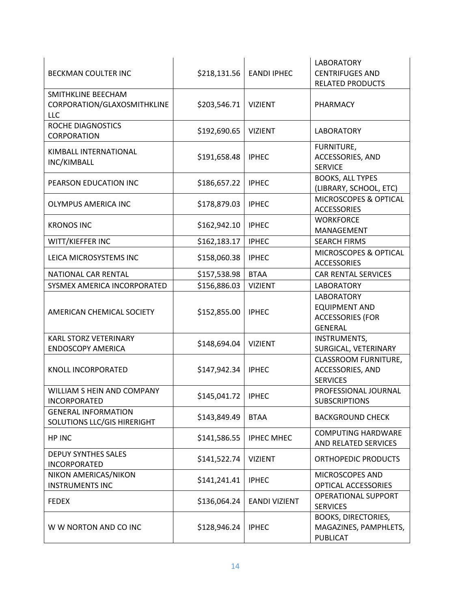| BECKMAN COULTER INC                                       | \$218,131.56 | <b>EANDI IPHEC</b>   | <b>LABORATORY</b><br><b>CENTRIFUGES AND</b><br><b>RELATED PRODUCTS</b>                 |
|-----------------------------------------------------------|--------------|----------------------|----------------------------------------------------------------------------------------|
| SMITHKLINE BEECHAM<br>CORPORATION/GLAXOSMITHKLINE<br>LLC  | \$203,546.71 | <b>VIZIENT</b>       | PHARMACY                                                                               |
| ROCHE DIAGNOSTICS<br>CORPORATION                          | \$192,690.65 | <b>VIZIENT</b>       | <b>LABORATORY</b>                                                                      |
| KIMBALL INTERNATIONAL<br>INC/KIMBALL                      | \$191,658.48 | <b>IPHEC</b>         | FURNITURE,<br>ACCESSORIES, AND<br><b>SERVICE</b>                                       |
| PEARSON EDUCATION INC                                     | \$186,657.22 | <b>IPHEC</b>         | <b>BOOKS, ALL TYPES</b><br>(LIBRARY, SCHOOL, ETC)                                      |
| <b>OLYMPUS AMERICA INC</b>                                | \$178,879.03 | <b>IPHEC</b>         | MICROSCOPES & OPTICAL<br><b>ACCESSORIES</b>                                            |
| <b>KRONOS INC</b>                                         | \$162,942.10 | <b>IPHEC</b>         | <b>WORKFORCE</b><br>MANAGEMENT                                                         |
| WITT/KIEFFER INC                                          | \$162,183.17 | <b>IPHEC</b>         | <b>SEARCH FIRMS</b>                                                                    |
| LEICA MICROSYSTEMS INC                                    | \$158,060.38 | <b>IPHEC</b>         | MICROSCOPES & OPTICAL<br><b>ACCESSORIES</b>                                            |
| NATIONAL CAR RENTAL                                       | \$157,538.98 | <b>BTAA</b>          | <b>CAR RENTAL SERVICES</b>                                                             |
| SYSMEX AMERICA INCORPORATED                               | \$156,886.03 | <b>VIZIENT</b>       | <b>LABORATORY</b>                                                                      |
| AMERICAN CHEMICAL SOCIETY                                 | \$152,855.00 | <b>IPHEC</b>         | <b>LABORATORY</b><br><b>EQUIPMENT AND</b><br><b>ACCESSORIES (FOR</b><br><b>GENERAL</b> |
| <b>KARL STORZ VETERINARY</b><br><b>ENDOSCOPY AMERICA</b>  | \$148,694.04 | <b>VIZIENT</b>       | <b>INSTRUMENTS,</b><br>SURGICAL, VETERINARY                                            |
| KNOLL INCORPORATED                                        | \$147,942.34 | <b>IPHEC</b>         | <b>CLASSROOM FURNITURE,</b><br>ACCESSORIES, AND<br><b>SERVICES</b>                     |
| WILLIAM S HEIN AND COMPANY<br><b>INCORPORATED</b>         | \$145,041.72 | <b>IPHEC</b>         | PROFESSIONAL JOURNAL<br><b>SUBSCRIPTIONS</b>                                           |
| <b>GENERAL INFORMATION</b><br>SOLUTIONS LLC/GIS HIRERIGHT | \$143,849.49 | <b>BTAA</b>          | <b>BACKGROUND CHECK</b>                                                                |
| HP INC                                                    | \$141,586.55 | <b>IPHEC MHEC</b>    | <b>COMPUTING HARDWARE</b><br>AND RELATED SERVICES                                      |
| <b>DEPUY SYNTHES SALES</b><br>INCORPORATED                | \$141,522.74 | <b>VIZIENT</b>       | ORTHOPEDIC PRODUCTS                                                                    |
| NIKON AMERICAS/NIKON<br><b>INSTRUMENTS INC</b>            | \$141,241.41 | <b>IPHEC</b>         | MICROSCOPES AND<br>OPTICAL ACCESSORIES                                                 |
| <b>FEDEX</b>                                              | \$136,064.24 | <b>EANDI VIZIENT</b> | <b>OPERATIONAL SUPPORT</b><br><b>SERVICES</b>                                          |
| W W NORTON AND CO INC                                     | \$128,946.24 | <b>IPHEC</b>         | <b>BOOKS, DIRECTORIES,</b><br>MAGAZINES, PAMPHLETS,<br><b>PUBLICAT</b>                 |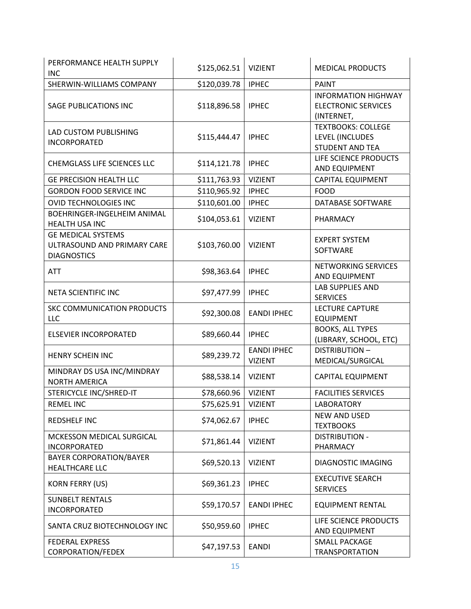| PERFORMANCE HEALTH SUPPLY<br><b>INC</b>                                        | \$125,062.51 | <b>VIZIENT</b>                       | <b>MEDICAL PRODUCTS</b>                                                |
|--------------------------------------------------------------------------------|--------------|--------------------------------------|------------------------------------------------------------------------|
| SHERWIN-WILLIAMS COMPANY                                                       | \$120,039.78 | <b>IPHEC</b>                         | <b>PAINT</b>                                                           |
| SAGE PUBLICATIONS INC                                                          | \$118,896.58 | <b>IPHEC</b>                         | <b>INFORMATION HIGHWAY</b><br><b>ELECTRONIC SERVICES</b><br>(INTERNET, |
| LAD CUSTOM PUBLISHING<br><b>INCORPORATED</b>                                   | \$115,444.47 | <b>IPHEC</b>                         | <b>TEXTBOOKS: COLLEGE</b><br>LEVEL (INCLUDES<br><b>STUDENT AND TEA</b> |
| CHEMGLASS LIFE SCIENCES LLC                                                    | \$114,121.78 | <b>IPHEC</b>                         | LIFE SCIENCE PRODUCTS<br>AND EQUIPMENT                                 |
| <b>GE PRECISION HEALTH LLC</b>                                                 | \$111,763.93 | <b>VIZIENT</b>                       | CAPITAL EQUIPMENT                                                      |
| <b>GORDON FOOD SERVICE INC</b>                                                 | \$110,965.92 | <b>IPHEC</b>                         | <b>FOOD</b>                                                            |
| <b>OVID TECHNOLOGIES INC</b>                                                   | \$110,601.00 | <b>IPHEC</b>                         | DATABASE SOFTWARE                                                      |
| BOEHRINGER-INGELHEIM ANIMAL<br><b>HEALTH USA INC</b>                           | \$104,053.61 | <b>VIZIENT</b>                       | PHARMACY                                                               |
| <b>GE MEDICAL SYSTEMS</b><br>ULTRASOUND AND PRIMARY CARE<br><b>DIAGNOSTICS</b> | \$103,760.00 | <b>VIZIENT</b>                       | <b>EXPERT SYSTEM</b><br><b>SOFTWARE</b>                                |
| <b>ATT</b>                                                                     | \$98,363.64  | <b>IPHEC</b>                         | NETWORKING SERVICES<br>AND EQUIPMENT                                   |
| NETA SCIENTIFIC INC                                                            | \$97,477.99  | <b>IPHEC</b>                         | <b>LAB SUPPLIES AND</b><br><b>SERVICES</b>                             |
| <b>SKC COMMUNICATION PRODUCTS</b><br>LLC                                       | \$92,300.08  | <b>EANDI IPHEC</b>                   | <b>LECTURE CAPTURE</b><br><b>EQUIPMENT</b>                             |
| <b>ELSEVIER INCORPORATED</b>                                                   | \$89,660.44  | <b>IPHEC</b>                         | <b>BOOKS, ALL TYPES</b><br>(LIBRARY, SCHOOL, ETC)                      |
| <b>HENRY SCHEIN INC</b>                                                        | \$89,239.72  | <b>EANDI IPHEC</b><br><b>VIZIENT</b> | <b>DISTRIBUTION-</b><br>MEDICAL/SURGICAL                               |
| MINDRAY DS USA INC/MINDRAY<br><b>NORTH AMERICA</b>                             | \$88,538.14  | <b>VIZIENT</b>                       | <b>CAPITAL EQUIPMENT</b>                                               |
| STERICYCLE INC/SHRED-IT                                                        | \$78,660.96  | <b>VIZIENT</b>                       | <b>FACILITIES SERVICES</b>                                             |
| REMEL INC                                                                      | \$75,625.91  | VIZIENT                              | LABORATORY                                                             |
| <b>REDSHELF INC</b>                                                            | \$74,062.67  | <b>IPHEC</b>                         | <b>NEW AND USED</b><br><b>TEXTBOOKS</b>                                |
| MCKESSON MEDICAL SURGICAL<br><b>INCORPORATED</b>                               | \$71,861.44  | <b>VIZIENT</b>                       | <b>DISTRIBUTION -</b><br>PHARMACY                                      |
| <b>BAYER CORPORATION/BAYER</b><br><b>HEALTHCARE LLC</b>                        | \$69,520.13  | <b>VIZIENT</b>                       | DIAGNOSTIC IMAGING                                                     |
| <b>KORN FERRY (US)</b>                                                         | \$69,361.23  | <b>IPHEC</b>                         | <b>EXECUTIVE SEARCH</b><br><b>SERVICES</b>                             |
| <b>SUNBELT RENTALS</b><br><b>INCORPORATED</b>                                  | \$59,170.57  | <b>EANDI IPHEC</b>                   | <b>EQUIPMENT RENTAL</b>                                                |
| SANTA CRUZ BIOTECHNOLOGY INC                                                   | \$50,959.60  | <b>IPHEC</b>                         | LIFE SCIENCE PRODUCTS<br>AND EQUIPMENT                                 |
| <b>FEDERAL EXPRESS</b><br>CORPORATION/FEDEX                                    | \$47,197.53  | <b>EANDI</b>                         | <b>SMALL PACKAGE</b><br><b>TRANSPORTATION</b>                          |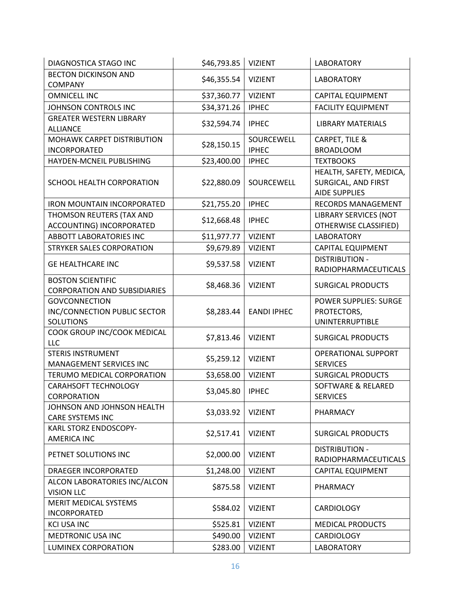| DIAGNOSTICA STAGO INC               | \$46,793.85 | <b>VIZIENT</b>     | <b>LABORATORY</b>             |
|-------------------------------------|-------------|--------------------|-------------------------------|
| <b>BECTON DICKINSON AND</b>         |             |                    |                               |
| <b>COMPANY</b>                      | \$46,355.54 | <b>VIZIENT</b>     | <b>LABORATORY</b>             |
| <b>OMNICELL INC</b>                 | \$37,360.77 | <b>VIZIENT</b>     | <b>CAPITAL EQUIPMENT</b>      |
| JOHNSON CONTROLS INC                | \$34,371.26 | <b>IPHEC</b>       | <b>FACILITY EQUIPMENT</b>     |
| <b>GREATER WESTERN LIBRARY</b>      |             |                    |                               |
| <b>ALLIANCE</b>                     | \$32,594.74 | <b>IPHEC</b>       | <b>LIBRARY MATERIALS</b>      |
| MOHAWK CARPET DISTRIBUTION          |             | SOURCEWELL         | CARPET, TILE &                |
| <b>INCORPORATED</b>                 | \$28,150.15 | <b>IPHEC</b>       | <b>BROADLOOM</b>              |
| HAYDEN-MCNEIL PUBLISHING            | \$23,400.00 | <b>IPHEC</b>       | <b>TEXTBOOKS</b>              |
|                                     |             |                    | HEALTH, SAFETY, MEDICA,       |
| SCHOOL HEALTH CORPORATION           | \$22,880.09 | SOURCEWELL         | SURGICAL, AND FIRST           |
|                                     |             |                    | <b>AIDE SUPPLIES</b>          |
| <b>IRON MOUNTAIN INCORPORATED</b>   | \$21,755.20 | <b>IPHEC</b>       | <b>RECORDS MANAGEMENT</b>     |
| THOMSON REUTERS (TAX AND            |             |                    | <b>LIBRARY SERVICES (NOT</b>  |
| ACCOUNTING) INCORPORATED            | \$12,668.48 | <b>IPHEC</b>       | <b>OTHERWISE CLASSIFIED)</b>  |
| <b>ABBOTT LABORATORIES INC</b>      | \$11,977.77 | <b>VIZIENT</b>     | <b>LABORATORY</b>             |
| STRYKER SALES CORPORATION           | \$9,679.89  | <b>VIZIENT</b>     | <b>CAPITAL EQUIPMENT</b>      |
|                                     |             |                    | <b>DISTRIBUTION -</b>         |
| <b>GE HEALTHCARE INC</b>            | \$9,537.58  | <b>VIZIENT</b>     | RADIOPHARMACEUTICALS          |
| <b>BOSTON SCIENTIFIC</b>            |             |                    |                               |
| <b>CORPORATION AND SUBSIDIARIES</b> | \$8,468.36  | <b>VIZIENT</b>     | <b>SURGICAL PRODUCTS</b>      |
| <b>GOVCONNECTION</b>                |             |                    | POWER SUPPLIES: SURGE         |
| INC/CONNECTION PUBLIC SECTOR        | \$8,283.44  | <b>EANDI IPHEC</b> | PROTECTORS,                   |
| <b>SOLUTIONS</b>                    |             |                    | <b>UNINTERRUPTIBLE</b>        |
| COOK GROUP INC/COOK MEDICAL         | \$7,813.46  | <b>VIZIENT</b>     | <b>SURGICAL PRODUCTS</b>      |
| LLC                                 |             |                    |                               |
| <b>STERIS INSTRUMENT</b>            | \$5,259.12  | <b>VIZIENT</b>     | <b>OPERATIONAL SUPPORT</b>    |
| <b>MANAGEMENT SERVICES INC</b>      |             |                    | <b>SERVICES</b>               |
| TERUMO MEDICAL CORPORATION          | \$3,658.00  | <b>VIZIENT</b>     | <b>SURGICAL PRODUCTS</b>      |
| <b>CARAHSOFT TECHNOLOGY</b>         | \$3,045.80  | <b>IPHEC</b>       | <b>SOFTWARE &amp; RELARED</b> |
| CORPORATION                         |             |                    | <b>SERVICES</b>               |
| JOHNSON AND JOHNSON HEALTH          | \$3,033.92  | <b>VIZIENT</b>     | PHARMACY                      |
| <b>CARE SYSTEMS INC</b>             |             |                    |                               |
| KARL STORZ ENDOSCOPY-               | \$2,517.41  | <b>VIZIENT</b>     | <b>SURGICAL PRODUCTS</b>      |
| <b>AMERICA INC</b>                  |             |                    |                               |
| PETNET SOLUTIONS INC                | \$2,000.00  | <b>VIZIENT</b>     | <b>DISTRIBUTION -</b>         |
|                                     |             |                    | <b>RADIOPHARMACEUTICALS</b>   |
| <b>DRAEGER INCORPORATED</b>         | \$1,248.00  | <b>VIZIENT</b>     | <b>CAPITAL EQUIPMENT</b>      |
| ALCON LABORATORIES INC/ALCON        | \$875.58    | <b>VIZIENT</b>     | PHARMACY                      |
| <b>VISION LLC</b>                   |             |                    |                               |
| <b>MERIT MEDICAL SYSTEMS</b>        | \$584.02    | <b>VIZIENT</b>     | <b>CARDIOLOGY</b>             |
| <b>INCORPORATED</b>                 |             |                    |                               |
| <b>KCI USA INC</b>                  | \$525.81    | <b>VIZIENT</b>     | <b>MEDICAL PRODUCTS</b>       |
| <b>MEDTRONIC USA INC</b>            | \$490.00    | <b>VIZIENT</b>     | <b>CARDIOLOGY</b>             |
| LUMINEX CORPORATION                 | \$283.00    | <b>VIZIENT</b>     | <b>LABORATORY</b>             |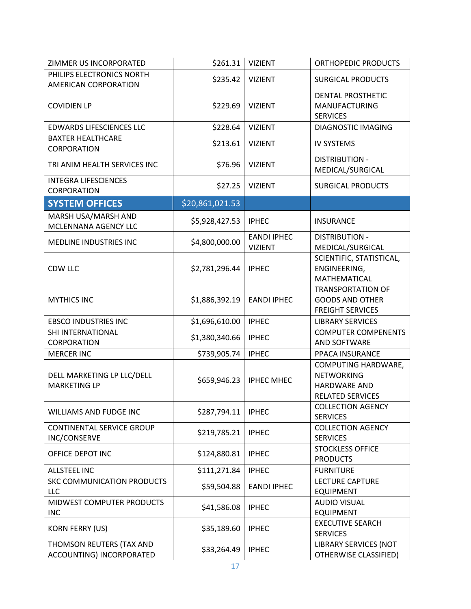| ZIMMER US INCORPORATED                               | \$261.31        | <b>VIZIENT</b>                       | ORTHOPEDIC PRODUCTS                                                                        |
|------------------------------------------------------|-----------------|--------------------------------------|--------------------------------------------------------------------------------------------|
| PHILIPS ELECTRONICS NORTH<br>AMERICAN CORPORATION    | \$235.42        | <b>VIZIENT</b>                       | <b>SURGICAL PRODUCTS</b>                                                                   |
| <b>COVIDIEN LP</b>                                   | \$229.69        | <b>VIZIENT</b>                       | DENTAL PROSTHETIC<br>MANUFACTURING<br><b>SERVICES</b>                                      |
| <b>EDWARDS LIFESCIENCES LLC</b>                      | \$228.64        | <b>VIZIENT</b>                       | DIAGNOSTIC IMAGING                                                                         |
| <b>BAXTER HEALTHCARE</b><br>CORPORATION              | \$213.61        | <b>VIZIENT</b>                       | <b>IV SYSTEMS</b>                                                                          |
| TRI ANIM HEALTH SERVICES INC                         | \$76.96         | <b>VIZIENT</b>                       | <b>DISTRIBUTION -</b><br>MEDICAL/SURGICAL                                                  |
| <b>INTEGRA LIFESCIENCES</b><br>CORPORATION           | \$27.25         | <b>VIZIENT</b>                       | <b>SURGICAL PRODUCTS</b>                                                                   |
| <b>SYSTEM OFFICES</b>                                | \$20,861,021.53 |                                      |                                                                                            |
| MARSH USA/MARSH AND<br>MCLENNANA AGENCY LLC          | \$5,928,427.53  | <b>IPHEC</b>                         | <b>INSURANCE</b>                                                                           |
| MEDLINE INDUSTRIES INC                               | \$4,800,000.00  | <b>EANDI IPHEC</b><br><b>VIZIENT</b> | <b>DISTRIBUTION -</b><br>MEDICAL/SURGICAL                                                  |
| <b>CDW LLC</b>                                       | \$2,781,296.44  | <b>IPHEC</b>                         | SCIENTIFIC, STATISTICAL,<br>ENGINEERING,<br>MATHEMATICAL                                   |
| <b>MYTHICS INC</b>                                   | \$1,886,392.19  | <b>EANDI IPHEC</b>                   | <b>TRANSPORTATION OF</b><br><b>GOODS AND OTHER</b><br><b>FREIGHT SERVICES</b>              |
| <b>EBSCO INDUSTRIES INC</b>                          | \$1,696,610.00  | <b>IPHEC</b>                         | <b>LIBRARY SERVICES</b>                                                                    |
| SHI INTERNATIONAL<br><b>CORPORATION</b>              | \$1,380,340.66  | <b>IPHEC</b>                         | <b>COMPUTER COMPENENTS</b><br>AND SOFTWARE                                                 |
| <b>MERCER INC</b>                                    | \$739,905.74    | <b>IPHEC</b>                         | PPACA INSURANCE                                                                            |
| DELL MARKETING LP LLC/DELL<br><b>MARKETING LP</b>    | \$659,946.23    | <b>IPHEC MHEC</b>                    | COMPUTING HARDWARE,<br><b>NETWORKING</b><br><b>HARDWARE AND</b><br><b>RELATED SERVICES</b> |
| WILLIAMS AND FUDGE INC                               | \$287,794.11    | <b>IPHEC</b>                         | <b>COLLECTION AGENCY</b><br><b>SERVICES</b>                                                |
| <b>CONTINENTAL SERVICE GROUP</b><br>INC/CONSERVE     | \$219,785.21    | <b>IPHEC</b>                         | <b>COLLECTION AGENCY</b><br><b>SERVICES</b>                                                |
| OFFICE DEPOT INC                                     | \$124,880.81    | <b>IPHEC</b>                         | <b>STOCKLESS OFFICE</b><br><b>PRODUCTS</b>                                                 |
| <b>ALLSTEEL INC</b>                                  | \$111,271.84    | <b>IPHEC</b>                         | <b>FURNITURE</b>                                                                           |
| SKC COMMUNICATION PRODUCTS<br><b>LLC</b>             | \$59,504.88     | <b>EANDI IPHEC</b>                   | <b>LECTURE CAPTURE</b><br><b>EQUIPMENT</b>                                                 |
| MIDWEST COMPUTER PRODUCTS<br><b>INC</b>              | \$41,586.08     | <b>IPHEC</b>                         | <b>AUDIO VISUAL</b><br><b>EQUIPMENT</b>                                                    |
| <b>KORN FERRY (US)</b>                               | \$35,189.60     | <b>IPHEC</b>                         | <b>EXECUTIVE SEARCH</b><br><b>SERVICES</b>                                                 |
| THOMSON REUTERS (TAX AND<br>ACCOUNTING) INCORPORATED | \$33,264.49     | <b>IPHEC</b>                         | <b>LIBRARY SERVICES (NOT</b><br>OTHERWISE CLASSIFIED)                                      |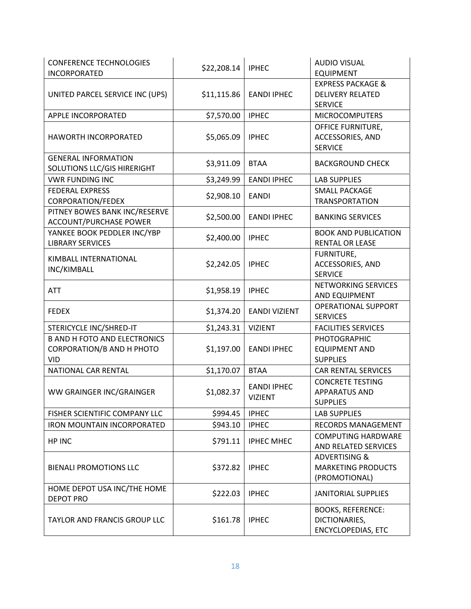| <b>CONFERENCE TECHNOLOGIES</b><br><b>INCORPORATED</b>                          | \$22,208.14 | <b>IPHEC</b>                         | <b>AUDIO VISUAL</b><br><b>EQUIPMENT</b>                                   |
|--------------------------------------------------------------------------------|-------------|--------------------------------------|---------------------------------------------------------------------------|
| UNITED PARCEL SERVICE INC (UPS)                                                | \$11,115.86 | <b>EANDI IPHEC</b>                   | <b>EXPRESS PACKAGE &amp;</b><br><b>DELIVERY RELATED</b><br><b>SERVICE</b> |
| APPLE INCORPORATED                                                             | \$7,570.00  | <b>IPHEC</b>                         | <b>MICROCOMPUTERS</b>                                                     |
| HAWORTH INCORPORATED                                                           | \$5,065.09  | <b>IPHEC</b>                         | OFFICE FURNITURE,<br>ACCESSORIES, AND<br><b>SERVICE</b>                   |
| <b>GENERAL INFORMATION</b><br>SOLUTIONS LLC/GIS HIRERIGHT                      | \$3,911.09  | <b>BTAA</b>                          | <b>BACKGROUND CHECK</b>                                                   |
| <b>VWR FUNDING INC</b>                                                         | \$3,249.99  | <b>EANDI IPHEC</b>                   | <b>LAB SUPPLIES</b>                                                       |
| <b>FEDERAL EXPRESS</b><br><b>CORPORATION/FEDEX</b>                             | \$2,908.10  | <b>EANDI</b>                         | <b>SMALL PACKAGE</b><br><b>TRANSPORTATION</b>                             |
| PITNEY BOWES BANK INC/RESERVE<br><b>ACCOUNT/PURCHASE POWER</b>                 | \$2,500.00  | <b>EANDI IPHEC</b>                   | <b>BANKING SERVICES</b>                                                   |
| YANKEE BOOK PEDDLER INC/YBP<br><b>LIBRARY SERVICES</b>                         | \$2,400.00  | <b>IPHEC</b>                         | <b>BOOK AND PUBLICATION</b><br><b>RENTAL OR LEASE</b>                     |
| KIMBALL INTERNATIONAL<br>INC/KIMBALL                                           | \$2,242.05  | <b>IPHEC</b>                         | FURNITURE,<br>ACCESSORIES, AND<br><b>SERVICE</b>                          |
| <b>ATT</b>                                                                     | \$1,958.19  | <b>IPHEC</b>                         | NETWORKING SERVICES<br>AND EQUIPMENT                                      |
| <b>FEDEX</b>                                                                   | \$1,374.20  | <b>EANDI VIZIENT</b>                 | <b>OPERATIONAL SUPPORT</b><br><b>SERVICES</b>                             |
| STERICYCLE INC/SHRED-IT                                                        | \$1,243.31  | <b>VIZIENT</b>                       | <b>FACILITIES SERVICES</b>                                                |
| <b>B AND H FOTO AND ELECTRONICS</b><br>CORPORATION/B AND H PHOTO<br><b>VID</b> | \$1,197.00  | <b>EANDI IPHEC</b>                   | PHOTOGRAPHIC<br><b>EQUIPMENT AND</b><br><b>SUPPLIES</b>                   |
| NATIONAL CAR RENTAL                                                            | \$1,170.07  | <b>BTAA</b>                          | <b>CAR RENTAL SERVICES</b>                                                |
| WW GRAINGER INC/GRAINGER                                                       | \$1,082.37  | <b>EANDI IPHEC</b><br><b>VIZIENT</b> | <b>CONCRETE TESTING</b><br><b>APPARATUS AND</b><br><b>SUPPLIES</b>        |
| FISHER SCIENTIFIC COMPANY LLC                                                  | \$994.45    | <b>IPHEC</b>                         | LAB SUPPLIES                                                              |
| <b>IRON MOUNTAIN INCORPORATED</b>                                              | \$943.10    | <b>IPHEC</b>                         | <b>RECORDS MANAGEMENT</b>                                                 |
| HP INC                                                                         | \$791.11    | <b>IPHEC MHEC</b>                    | <b>COMPUTING HARDWARE</b><br>AND RELATED SERVICES                         |
| <b>BIENALI PROMOTIONS LLC</b>                                                  | \$372.82    | <b>IPHEC</b>                         | <b>ADVERTISING &amp;</b><br><b>MARKETING PRODUCTS</b><br>(PROMOTIONAL)    |
| HOME DEPOT USA INC/THE HOME<br><b>DEPOT PRO</b>                                | \$222.03    | <b>IPHEC</b>                         | <b>JANITORIAL SUPPLIES</b>                                                |
| <b>TAYLOR AND FRANCIS GROUP LLC</b>                                            | \$161.78    | <b>IPHEC</b>                         | <b>BOOKS, REFERENCE:</b><br>DICTIONARIES,<br><b>ENCYCLOPEDIAS, ETC</b>    |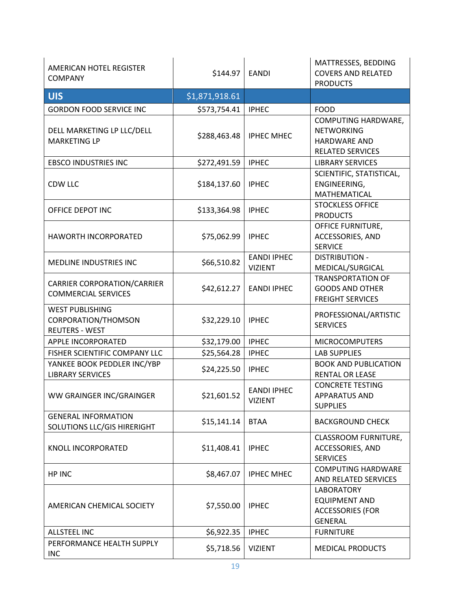| AMERICAN HOTEL REGISTER<br><b>COMPANY</b>                              | \$144.97       | <b>EANDI</b>                         | MATTRESSES, BEDDING<br><b>COVERS AND RELATED</b><br><b>PRODUCTS</b>                        |
|------------------------------------------------------------------------|----------------|--------------------------------------|--------------------------------------------------------------------------------------------|
| <b>UIS</b>                                                             | \$1,871,918.61 |                                      |                                                                                            |
| <b>GORDON FOOD SERVICE INC</b>                                         | \$573,754.41   | <b>IPHEC</b>                         | <b>FOOD</b>                                                                                |
| DELL MARKETING LP LLC/DELL<br><b>MARKETING LP</b>                      | \$288,463.48   | <b>IPHEC MHEC</b>                    | COMPUTING HARDWARE,<br><b>NETWORKING</b><br><b>HARDWARE AND</b><br><b>RELATED SERVICES</b> |
| <b>EBSCO INDUSTRIES INC</b>                                            | \$272,491.59   | <b>IPHEC</b>                         | <b>LIBRARY SERVICES</b>                                                                    |
| CDW LLC                                                                | \$184,137.60   | <b>IPHEC</b>                         | SCIENTIFIC, STATISTICAL,<br>ENGINEERING,<br>MATHEMATICAL                                   |
| OFFICE DEPOT INC                                                       | \$133,364.98   | <b>IPHEC</b>                         | <b>STOCKLESS OFFICE</b><br><b>PRODUCTS</b>                                                 |
| <b>HAWORTH INCORPORATED</b>                                            | \$75,062.99    | <b>IPHEC</b>                         | OFFICE FURNITURE,<br>ACCESSORIES, AND<br><b>SERVICE</b>                                    |
| <b>MEDLINE INDUSTRIES INC</b>                                          | \$66,510.82    | <b>EANDI IPHEC</b><br><b>VIZIENT</b> | <b>DISTRIBUTION -</b><br>MEDICAL/SURGICAL                                                  |
| <b>CARRIER CORPORATION/CARRIER</b><br><b>COMMERCIAL SERVICES</b>       | \$42,612.27    | <b>EANDI IPHEC</b>                   | <b>TRANSPORTATION OF</b><br><b>GOODS AND OTHER</b><br><b>FREIGHT SERVICES</b>              |
| <b>WEST PUBLISHING</b><br>CORPORATION/THOMSON<br><b>REUTERS - WEST</b> | \$32,229.10    | <b>IPHEC</b>                         | PROFESSIONAL/ARTISTIC<br><b>SERVICES</b>                                                   |
| APPLE INCORPORATED                                                     | \$32,179.00    | <b>IPHEC</b>                         | <b>MICROCOMPUTERS</b>                                                                      |
| FISHER SCIENTIFIC COMPANY LLC                                          | \$25,564.28    | <b>IPHEC</b>                         | <b>LAB SUPPLIES</b>                                                                        |
| YANKEE BOOK PEDDLER INC/YBP<br><b>LIBRARY SERVICES</b>                 | \$24,225.50    | <b>IPHEC</b>                         | <b>BOOK AND PUBLICATION</b><br><b>RENTAL OR LEASE</b>                                      |
| WW GRAINGER INC/GRAINGER                                               | \$21,601.52    | <b>EANDI IPHEC</b><br><b>VIZIENT</b> | <b>CONCRETE TESTING</b><br><b>APPARATUS AND</b><br><b>SUPPLIES</b>                         |
| <b>GENERAL INFORMATION</b><br>SOLUTIONS LLC/GIS HIRERIGHT              | \$15,141.14    | <b>BTAA</b>                          | <b>BACKGROUND CHECK</b>                                                                    |
| KNOLL INCORPORATED                                                     | \$11,408.41    | <b>IPHEC</b>                         | CLASSROOM FURNITURE,<br>ACCESSORIES, AND<br><b>SERVICES</b>                                |
| HP INC                                                                 | \$8,467.07     | <b>IPHEC MHEC</b>                    | <b>COMPUTING HARDWARE</b><br>AND RELATED SERVICES                                          |
| AMERICAN CHEMICAL SOCIETY                                              | \$7,550.00     | <b>IPHEC</b>                         | <b>LABORATORY</b><br><b>EQUIPMENT AND</b><br><b>ACCESSORIES (FOR</b><br><b>GENERAL</b>     |
| <b>ALLSTEEL INC</b>                                                    | \$6,922.35     | <b>IPHEC</b>                         | <b>FURNITURE</b>                                                                           |
| PERFORMANCE HEALTH SUPPLY<br><b>INC</b>                                | \$5,718.56     | <b>VIZIENT</b>                       | <b>MEDICAL PRODUCTS</b>                                                                    |